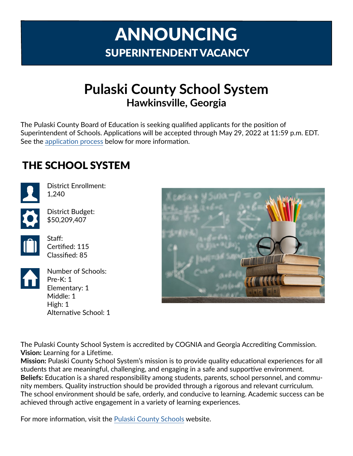# ANNOUNCING SUPERINTENDENT VACANCY

# **Pulaski County School System Hawkinsville, Georgia**

The Pulaski County Board of Education is seeking qualified applicants for the position of Superintendent of Schools. Applications will be accepted through May 29, 2022 at 11:59 p.m. EDT. See the [application process](#page-2-0) below for more information.

#### THE SCHOOL SYSTEM



District Enrollment: 1,240

District Budget: \$50,209,407



Staff: Certified: 115 Classified: 85



Number of Schools: Pre-K: 1 Elementary: 1 Middle: 1 High: 1 Alternative School: 1



The Pulaski County School System is accredited by COGNIA and Georgia Accrediting Commission. **Vision:** Learning for a Lifetime.

**Mission:** Pulaski County School System's mission is to provide quality educational experiences for all students that are meaningful, challenging, and engaging in a safe and supportive environment. **Beliefs:** Education is a shared responsibility among students, parents, school personnel, and community members. Quality instruction should be provided through a rigorous and relevant curriculum. The school environment should be safe, orderly, and conducive to learning. Academic success can be achieved through active engagement in a variety of learning experiences.

For more information, visit the Pulaski [County Schools](https://www.pulaski.k12.ga.us) website.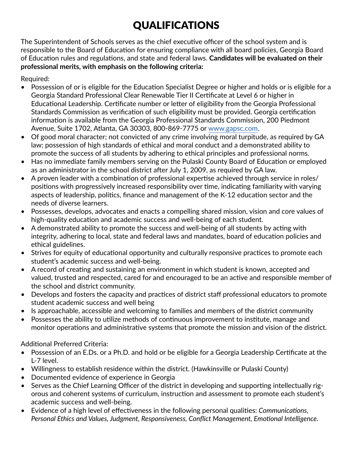# QUALIFICATIONS

The Superintendent of Schools serves as the chief executive officer of the school system and is responsible to the Board of Education for ensuring compliance with all board policies, Georgia Board of Education rules and regulations, and state and federal laws. **Candidates will be evaluated on their professional merits, with emphasis on the following criteria:**

Required:

- Possession of or is eligible for the Education Specialist Degree or higher and holds or is eligible for a Georgia Standard Professional Clear Renewable Tier II Certificate at Level 6 or higher in Educational Leadership. Certificate number or letter of eligibility from the Georgia Professional Standards Commission as verification of such eligibility must be provided. Georgia certification information is available from the Georgia Professional Standards Commission, 200 Piedmont Avenue, Suite 1702, Atlanta, GA 30303, 800-869-7775 or [www.gapsc.com](http://www.gapsc.com).
- Of good moral character; not convicted of any crime involving moral turpitude, as required by GA law; possession of high standards of ethical and moral conduct and a demonstrated ability to promote the success of all students by adhering to ethical principles and professional norms.
- Has no immediate family members serving on the Pulaski County Board of Education or employed as an administrator in the school district after July 1, 2009, as required by GA law.
- A proven leader with a combination of professional expertise achieved through service in roles/ positions with progressively increased responsibility over time, indicating familiarity with varying aspects of leadership, politics, finance and management of the K-12 education sector and the needs of diverse learners.
- Possesses, develops, advocates and enacts a compelling shared mission, vision and core values of high-quality education and academic success and well-being of each student.
- A demonstrated ability to promote the success and well-being of all students by acting with integrity, adhering to local, state and federal laws and mandates, board of education policies and ethical guidelines.
- Strives for equity of educational opportunity and culturally responsive practices to promote each student's academic success and well-being.
- A record of creating and sustaining an environment in which student is known, accepted and valued, trusted and respected, cared for and encouraged to be an active and responsible member of the school and district community.
- Develops and fosters the capacity and practices of district staff professional educators to promote student academic success and well being
- Is approachable, accessible and welcoming to families and members of the district community
- Possesses the ability to utilize methods of continuous improvement to institute, manage and monitor operations and administrative systems that promote the mission and vision of the district.

Additional Preferred Criteria:

- Possession of an E.Ds. or a Ph.D. and hold or be eligible for a Georgia Leadership Certificate at the L-7 level.
- Willingness to establish residence within the district. (Hawkinsville or Pulaski County)
- Documented evidence of experience in Georgia
- Serves as the Chief Learning Officer of the district in developing and supporting intellectually rigorous and coherent systems of curriculum, instruction and assessment to promote each student's academic success and well-being.
- Evidence of a high level of effectiveness in the following personal qualities: *Communications, Personal Ethics and Values, Judgment, Responsiveness, Conflict Management, Emotional Intelligence.*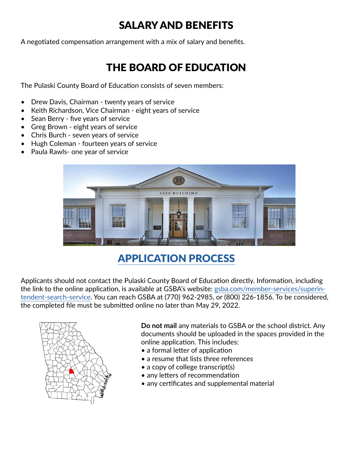#### SALARY AND BENEFITS

A negotiated compensation arrangement with a mix of salary and benefits.

#### THE BOARD OF EDUCATION

The Pulaski County Board of Education consists of seven members:

- Drew Davis, Chairman twenty years of service
- Keith Richardson, Vice Chairman eight years of service
- Sean Berry five years of service
- Greg Brown eight years of service
- Chris Burch seven years of service
- Hugh Coleman fourteen years of service
- Paula Rawls- one year of service



## <span id="page-2-0"></span>APPLICATION PROCESS

Applicants should not contact the Pulaski County Board of Education directly. Information, including the link to the online application, is available at GSBA's website: [gsba.com/member-services/superin](https://gsba.com/member-services/superintendent-search-service/)[tendent-search-service](https://gsba.com/member-services/superintendent-search-service/). You can reach GSBA at (770) 962-2985, or (800) 226-1856. To be considered, the completed file must be submitted online no later than May 29, 2022.



**Do not mail** any materials to GSBA or the school district. Any documents should be uploaded in the spaces provided in the online application. This includes:

- a formal letter of application
- a resume that lists three references
- a copy of college transcript(s)
- any letters of recommendation
- any certificates and supplemental material